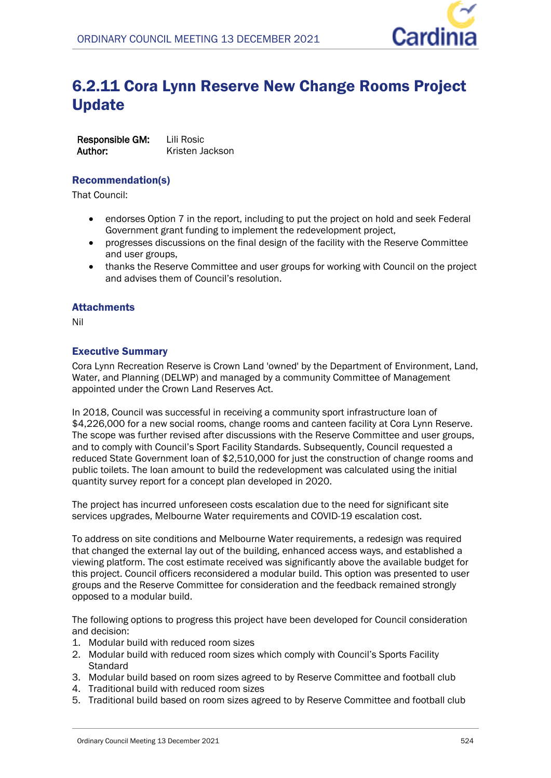

# 6.2.11 Cora Lynn Reserve New Change Rooms Project Update

**Responsible GM:** Lili Rosic **Author:** Kristen Jackson

### Recommendation(s)

That Council:

- endorses Option 7 in the report, including to put the project on hold and seek Federal Government grant funding to implement the redevelopment project,
- progresses discussions on the final design of the facility with the Reserve Committee and user groups,
- thanks the Reserve Committee and user groups for working with Council on the project and advises them of Council's resolution.

## **Attachments**

Nil

# Executive Summary

Cora Lynn Recreation Reserve is Crown Land 'owned' by the Department of Environment, Land, Water, and Planning (DELWP) and managed by a community Committee of Management appointed under the Crown Land Reserves Act.

In 2018, Council was successful in receiving a community sport infrastructure loan of \$4,226,000 for a new social rooms, change rooms and canteen facility at Cora Lynn Reserve. The scope was further revised after discussions with the Reserve Committee and user groups, and to comply with Council's Sport Facility Standards. Subsequently, Council requested a reduced State Government loan of \$2,510,000 for just the construction of change rooms and public toilets. The loan amount to build the redevelopment was calculated using the initial quantity survey report for a concept plan developed in 2020.

The project has incurred unforeseen costs escalation due to the need for significant site services upgrades, Melbourne Water requirements and COVID-19 escalation cost.

To address on site conditions and Melbourne Water requirements, a redesign was required that changed the external lay out of the building, enhanced access ways, and established a viewing platform. The cost estimate received was significantly above the available budget for this project. Council officers reconsidered a modular build. This option was presented to user groups and the Reserve Committee for consideration and the feedback remained strongly opposed to a modular build.

The following options to progress this project have been developed for Council consideration and decision:

- 1. Modular build with reduced room sizes
- 2. Modular build with reduced room sizes which comply with Council's Sports Facility **Standard**
- 3. Modular build based on room sizes agreed to by Reserve Committee and football club
- 4. Traditional build with reduced room sizes
- 5. Traditional build based on room sizes agreed to by Reserve Committee and football club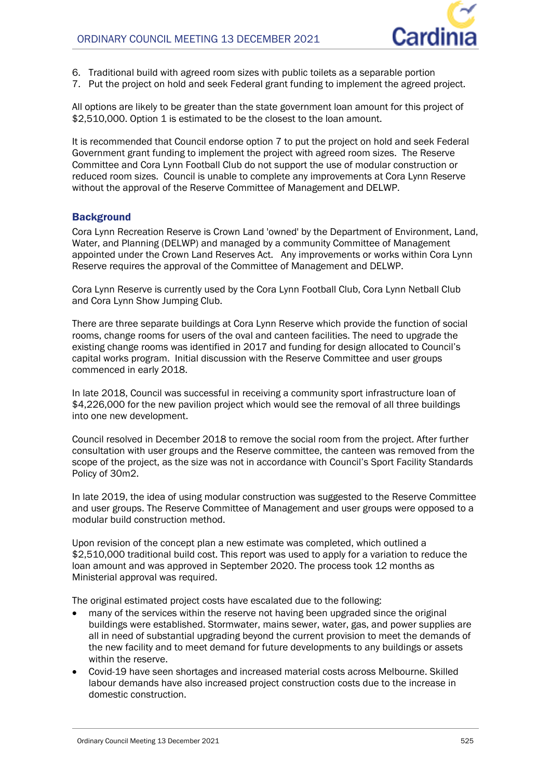

- 6. Traditional build with agreed room sizes with public toilets as a separable portion
- 7. Put the project on hold and seek Federal grant funding to implement the agreed project.

All options are likely to be greater than the state government loan amount for this project of \$2,510,000. Option 1 is estimated to be the closest to the loan amount.

It is recommended that Council endorse option 7 to put the project on hold and seek Federal Government grant funding to implement the project with agreed room sizes. The Reserve Committee and Cora Lynn Football Club do not support the use of modular construction or reduced room sizes. Council is unable to complete any improvements at Cora Lynn Reserve without the approval of the Reserve Committee of Management and DELWP.

### **Background**

Cora Lynn Recreation Reserve is Crown Land 'owned' by the Department of Environment, Land, Water, and Planning (DELWP) and managed by a community Committee of Management appointed under the Crown Land Reserves Act. Any improvements or works within Cora Lynn Reserve requires the approval of the Committee of Management and DELWP.

Cora Lynn Reserve is currently used by the Cora Lynn Football Club, Cora Lynn Netball Club and Cora Lynn Show Jumping Club.

There are three separate buildings at Cora Lynn Reserve which provide the function of social rooms, change rooms for users of the oval and canteen facilities. The need to upgrade the existing change rooms was identified in 2017 and funding for design allocated to Council's capital works program. Initial discussion with the Reserve Committee and user groups commenced in early 2018.

In late 2018, Council was successful in receiving a community sport infrastructure loan of \$4,226,000 for the new pavilion project which would see the removal of all three buildings into one new development.

Council resolved in December 2018 to remove the social room from the project. After further consultation with user groups and the Reserve committee, the canteen was removed from the scope of the project, as the size was not in accordance with Council's Sport Facility Standards Policy of 30m2.

In late 2019, the idea of using modular construction was suggested to the Reserve Committee and user groups. The Reserve Committee of Management and user groups were opposed to a modular build construction method.

Upon revision of the concept plan a new estimate was completed, which outlined a \$2,510,000 traditional build cost. This report was used to apply for a variation to reduce the loan amount and was approved in September 2020. The process took 12 months as Ministerial approval was required.

The original estimated project costs have escalated due to the following:

- many of the services within the reserve not having been upgraded since the original buildings were established. Stormwater, mains sewer, water, gas, and power supplies are all in need of substantial upgrading beyond the current provision to meet the demands of the new facility and to meet demand for future developments to any buildings or assets within the reserve.
- Covid-19 have seen shortages and increased material costs across Melbourne. Skilled labour demands have also increased project construction costs due to the increase in domestic construction.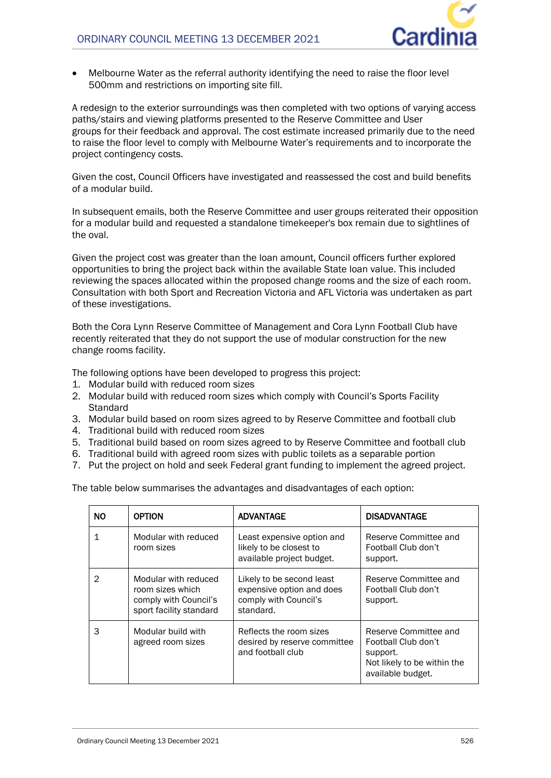

 Melbourne Water as the referral authority identifying the need to raise the floor level 500mm and restrictions on importing site fill.

A redesign to the exterior surroundings was then completed with two options of varying access paths/stairs and viewing platforms presented to the Reserve Committee and User groups for their feedback and approval. The cost estimate increased primarily due to the need to raise the floor level to comply with Melbourne Water's requirements and to incorporate the project contingency costs.

Given the cost, Council Officers have investigated and reassessed the cost and build benefits of a modular build.

In subsequent emails, both the Reserve Committee and user groups reiterated their opposition for a modular build and requested a standalone timekeeper's box remain due to sightlines of the oval.

Given the project cost was greater than the loan amount, Council officers further explored opportunities to bring the project back within the available State loan value. This included reviewing the spaces allocated within the proposed change rooms and the size of each room. Consultation with both Sport and Recreation Victoria and AFL Victoria was undertaken as part of these investigations.

Both the Cora Lynn Reserve Committee of Management and Cora Lynn Football Club have recently reiterated that they do not support the use of modular construction for the new change rooms facility.

The following options have been developed to progress this project:

- 1. Modular build with reduced room sizes
- 2. Modular build with reduced room sizes which comply with Council's Sports Facility **Standard**
- 3. Modular build based on room sizes agreed to by Reserve Committee and football club
- 4. Traditional build with reduced room sizes
- 5. Traditional build based on room sizes agreed to by Reserve Committee and football club
- 6. Traditional build with agreed room sizes with public toilets as a separable portion
- 7. Put the project on hold and seek Federal grant funding to implement the agreed project.

The table below summarises the advantages and disadvantages of each option:

| <b>NO</b>      | <b>OPTION</b>                                                                                | <b>ADVANTAGE</b>                                                                             | <b>DISADVANTAGE</b>                                                                                          |
|----------------|----------------------------------------------------------------------------------------------|----------------------------------------------------------------------------------------------|--------------------------------------------------------------------------------------------------------------|
| 1              | Modular with reduced<br>room sizes                                                           | Least expensive option and<br>likely to be closest to<br>available project budget.           | Reserve Committee and<br>Football Club don't<br>support.                                                     |
| $\mathfrak{D}$ | Modular with reduced<br>room sizes which<br>comply with Council's<br>sport facility standard | Likely to be second least<br>expensive option and does<br>comply with Council's<br>standard. | Reserve Committee and<br>Football Club don't<br>support.                                                     |
| 3              | Modular build with<br>agreed room sizes                                                      | Reflects the room sizes<br>desired by reserve committee<br>and football club                 | Reserve Committee and<br>Football Club don't<br>support.<br>Not likely to be within the<br>available budget. |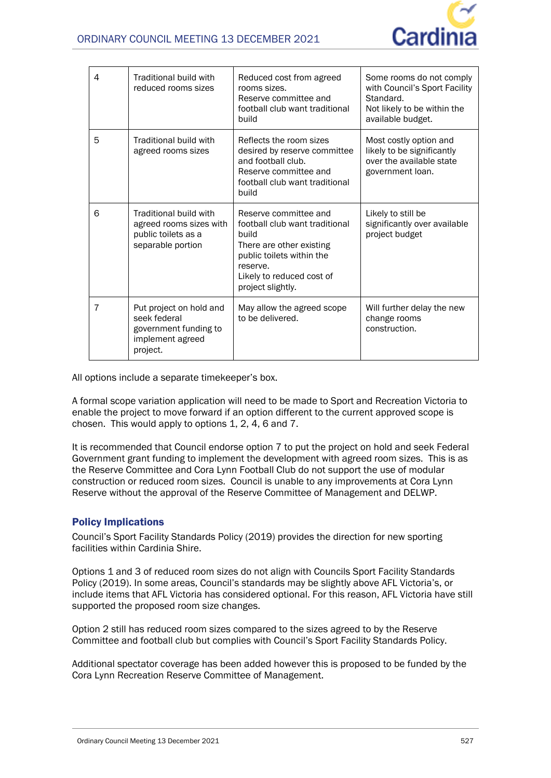

| 4              | Traditional build with<br>reduced rooms sizes                                                    | Reduced cost from agreed<br>rooms sizes.<br>Reserve committee and<br>football club want traditional<br>build                                                                            | Some rooms do not comply<br>with Council's Sport Facility<br>Standard.<br>Not likely to be within the<br>available budget. |
|----------------|--------------------------------------------------------------------------------------------------|-----------------------------------------------------------------------------------------------------------------------------------------------------------------------------------------|----------------------------------------------------------------------------------------------------------------------------|
| 5              | Traditional build with<br>agreed rooms sizes                                                     | Reflects the room sizes<br>desired by reserve committee<br>and football club.<br>Reserve committee and<br>football club want traditional<br>build                                       | Most costly option and<br>likely to be significantly<br>over the available state<br>government loan.                       |
| 6              | Traditional build with<br>agreed rooms sizes with<br>public toilets as a<br>separable portion    | Reserve committee and<br>football club want traditional<br>build<br>There are other existing<br>public toilets within the<br>reserve.<br>Likely to reduced cost of<br>project slightly. | Likely to still be<br>significantly over available<br>project budget                                                       |
| $\overline{7}$ | Put project on hold and<br>seek federal<br>government funding to<br>implement agreed<br>project. | May allow the agreed scope<br>to be delivered.                                                                                                                                          | Will further delay the new<br>change rooms<br>construction.                                                                |

All options include a separate timekeeper's box.

A formal scope variation application will need to be made to Sport and Recreation Victoria to enable the project to move forward if an option different to the current approved scope is chosen. This would apply to options 1, 2, 4, 6 and 7.

It is recommended that Council endorse option 7 to put the project on hold and seek Federal Government grant funding to implement the development with agreed room sizes. This is as the Reserve Committee and Cora Lynn Football Club do not support the use of modular construction or reduced room sizes. Council is unable to any improvements at Cora Lynn Reserve without the approval of the Reserve Committee of Management and DELWP.

### Policy Implications

Council's Sport Facility Standards Policy (2019) provides the direction for new sporting facilities within Cardinia Shire.

Options 1 and 3 of reduced room sizes do not align with Councils Sport Facility Standards Policy (2019). In some areas, Council's standards may be slightly above AFL Victoria's, or include items that AFL Victoria has considered optional. For this reason, AFL Victoria have still supported the proposed room size changes.

Option 2 still has reduced room sizes compared to the sizes agreed to by the Reserve Committee and football club but complies with Council's Sport Facility Standards Policy.

Additional spectator coverage has been added however this is proposed to be funded by the Cora Lynn Recreation Reserve Committee of Management.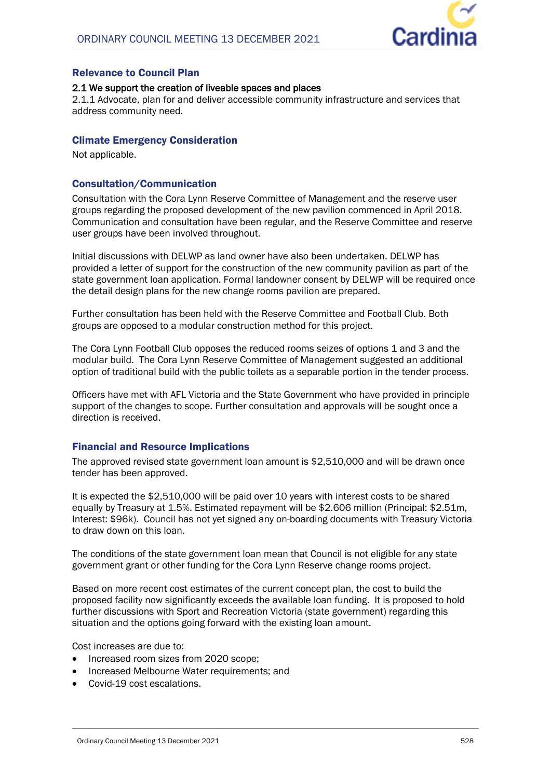

### Relevance to Council Plan

#### **2.1 We support the creation of liveable spaces and places**

2.1.1 Advocate, plan for and deliver accessible community infrastructure and services that address community need.

#### Climate Emergency Consideration

Not applicable.

#### Consultation/Communication

Consultation with the Cora Lynn Reserve Committee of Management and the reserve user groups regarding the proposed development of the new pavilion commenced in April 2018. Communication and consultation have been regular, and the Reserve Committee and reserve user groups have been involved throughout.

Initial discussions with DELWP as land owner have also been undertaken. DELWP has provided a letter of support for the construction of the new community pavilion as part of the state government loan application. Formal landowner consent by DELWP will be required once the detail design plans for the new change rooms pavilion are prepared.

Further consultation has been held with the Reserve Committee and Football Club. Both groups are opposed to a modular construction method for this project.

The Cora Lynn Football Club opposes the reduced rooms seizes of options 1 and 3 and the modular build. The Cora Lynn Reserve Committee of Management suggested an additional option of traditional build with the public toilets as a separable portion in the tender process.

Officers have met with AFL Victoria and the State Government who have provided in principle support of the changes to scope. Further consultation and approvals will be sought once a direction is received.

### Financial and Resource Implications

The approved revised state government loan amount is \$2,510,000 and will be drawn once tender has been approved.

It is expected the \$2,510,000 will be paid over 10 years with interest costs to be shared equally by Treasury at 1.5%. Estimated repayment will be \$2.606 million (Principal: \$2.51m, Interest: \$96k). Council has not yet signed any on-boarding documents with Treasury Victoria to draw down on this loan.

The conditions of the state government loan mean that Council is not eligible for any state government grant or other funding for the Cora Lynn Reserve change rooms project.

Based on more recent cost estimates of the current concept plan, the cost to build the proposed facility now significantly exceeds the available loan funding. It is proposed to hold further discussions with Sport and Recreation Victoria (state government) regarding this situation and the options going forward with the existing loan amount.

Cost increases are due to:

- Increased room sizes from 2020 scope;
- Increased Melbourne Water requirements; and
- Covid-19 cost escalations.